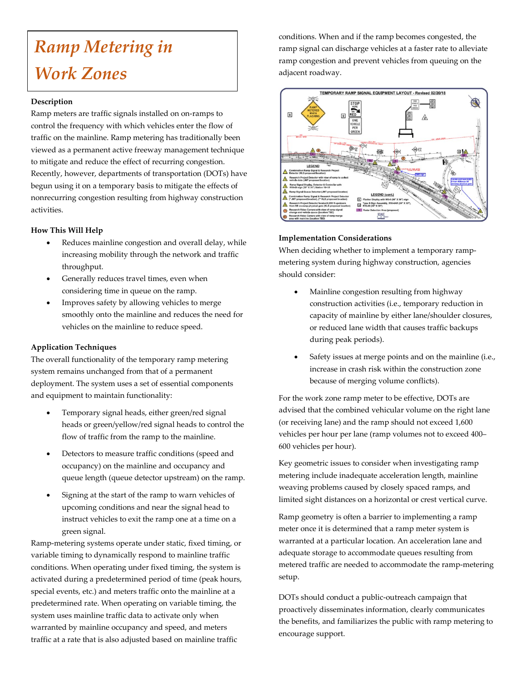# *Ramp Metering in Work Zones*

#### **Description**

Ramp meters are traffic signals installed on on-ramps to control the frequency with which vehicles enter the flow of traffic on the mainline. Ramp metering has traditionally been viewed as a permanent active freeway management technique to mitigate and reduce the effect of recurring congestion. Recently, however, departments of transportation (DOTs) have begun using it on a temporary basis to mitigate the effects of nonrecurring congestion resulting from highway construction activities.

#### **How This Will Help**

- Reduces mainline congestion and overall delay, while increasing mobility through the network and traffic throughput.
- Generally reduces travel times, even when considering time in queue on the ramp.
- Improves safety by allowing vehicles to merge smoothly onto the mainline and reduces the need for vehicles on the mainline to reduce speed.

## **Application Techniques**

The overall functionality of the temporary ramp metering system remains unchanged from that of a permanent deployment. The system uses a set of essential components and equipment to maintain functionality:

- Temporary signal heads, either green/red signal heads or green/yellow/red signal heads to control the flow of traffic from the ramp to the mainline.
- Detectors to measure traffic conditions (speed and occupancy) on the mainline and occupancy and queue length (queue detector upstream) on the ramp.
- Signing at the start of the ramp to warn vehicles of upcoming conditions and near the signal head to instruct vehicles to exit the ramp one at a time on a green signal.

Ramp-metering systems operate under static, fixed timing, or variable timing to dynamically respond to mainline traffic conditions. When operating under fixed timing, the system is activated during a predetermined period of time (peak hours, special events, etc.) and meters traffic onto the mainline at a predetermined rate. When operating on variable timing, the system uses mainline traffic data to activate only when warranted by mainline occupancy and speed, and meters traffic at a rate that is also adjusted based on mainline traffic

conditions. When and if the ramp becomes congested, the ramp signal can discharge vehicles at a faster rate to alleviate ramp congestion and prevent vehicles from queuing on the adjacent roadway.



#### **Implementation Considerations**

When deciding whether to implement a temporary rampmetering system during highway construction, agencies should consider:

- Mainline congestion resulting from highway construction activities (i.e., temporary reduction in capacity of mainline by either lane/shoulder closures, or reduced lane width that causes traffic backups during peak periods).
- Safety issues at merge points and on the mainline (i.e., increase in crash risk within the construction zone because of merging volume conflicts).

For the work zone ramp meter to be effective, DOTs are advised that the combined vehicular volume on the right lane (or receiving lane) and the ramp should not exceed 1,600 vehicles per hour per lane (ramp volumes not to exceed 400– 600 vehicles per hour).

Key geometric issues to consider when investigating ramp metering include inadequate acceleration length, mainline weaving problems caused by closely spaced ramps, and limited sight distances on a horizontal or crest vertical curve.

Ramp geometry is often a barrier to implementing a ramp meter once it is determined that a ramp meter system is warranted at a particular location. An acceleration lane and adequate storage to accommodate queues resulting from metered traffic are needed to accommodate the ramp-metering setup.

DOTs should conduct a public-outreach campaign that proactively disseminates information, clearly communicates the benefits, and familiarizes the public with ramp metering to encourage support.